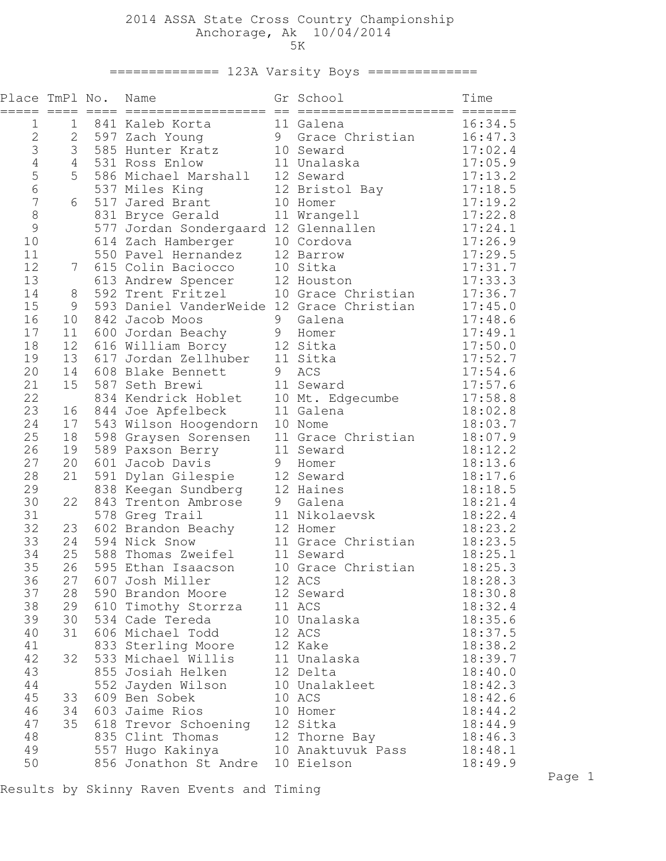## 2014 ASSA State Cross Country Championship Anchorage, Ak 10/04/2014  $5K$

## ============== 123A Varsity Boys ==============

| Place TmPl No.<br>===== | $== == =$      | $== == =$ | Name                                      |               | Gr School                     | Time               |
|-------------------------|----------------|-----------|-------------------------------------------|---------------|-------------------------------|--------------------|
| 1                       | 1              |           | 841 Kaleb Korta                           |               | 11 Galena                     | 16:34.5            |
| $\overline{c}$          | $\mathbf 2$    |           | 597 Zach Young                            |               | 9 Grace Christian             | 16:47.3            |
| 3                       | 3              |           | 585 Hunter Kratz                          |               | 10 Seward                     | 17:02.4            |
| $\overline{4}$          | $\overline{4}$ |           | 531 Ross Enlow                            |               | 11 Unalaska                   | 17:05.9            |
| 5                       | 5              |           | 586 Michael Marshall                      |               | 12 Seward                     | 17:13.2            |
| 6                       |                |           | 537 Miles King                            |               | 12 Bristol Bay                | 17:18.5            |
| 7                       | 6              |           | 517 Jared Brant                           |               | 10 Homer                      | 17:19.2            |
| 8                       |                |           | 831 Bryce Gerald                          |               | 11 Wrangell                   | 17:22.8            |
| 9                       |                |           | 577 Jordan Sondergaard 12 Glennallen      |               |                               | 17:24.1            |
| 10                      |                |           | 614 Zach Hamberger                        |               | 10 Cordova                    | 17:26.9            |
| 11                      |                |           | 550 Pavel Hernandez                       |               | 12 Barrow                     | 17:29.5            |
| 12                      | 7              |           | 615 Colin Baciocco                        |               | 10 Sitka                      | 17:31.7            |
| 13                      |                |           | 613 Andrew Spencer                        |               | 12 Houston                    | 17:33.3            |
| 14                      | 8              |           | 592 Trent Fritzel                         |               | 10 Grace Christian            | 17:36.7            |
| 15                      | $\mathsf{O}$   |           | 593 Daniel VanderWeide 12 Grace Christian |               |                               | 17:45.0            |
| 16                      | 10             |           | 842 Jacob Moos                            | 9             | Galena                        | 17:48.6            |
| 17                      | 11             |           | 600 Jordan Beachy                         | $\mathcal{G}$ | Homer                         | 17:49.1            |
| 18                      | 12             |           | 616 William Borcy                         |               | 12 Sitka                      | 17:50.0            |
| 19<br>20                | 13             |           | 617 Jordan Zellhuber<br>608 Blake Bennett | 9             | 11 Sitka                      | 17:52.7            |
| 21                      | 14<br>15       |           | 587 Seth Brewi                            |               | ACS<br>11 Seward              | 17:54.6<br>17:57.6 |
| 22                      |                |           | 834 Kendrick Hoblet                       |               |                               | 17:58.8            |
| 23                      | 16             |           | 844 Joe Apfelbeck                         |               | 10 Mt. Edgecumbe<br>11 Galena | 18:02.8            |
| 24                      | 17             |           | 543 Wilson Hoogendorn                     |               | 10 Nome                       | 18:03.7            |
| 25                      | 18             |           | 598 Graysen Sorensen                      |               | 11 Grace Christian            | 18:07.9            |
| 26                      | 19             |           | 589 Paxson Berry                          |               | 11 Seward                     | 18:12.2            |
| 27                      | 20             |           | 601 Jacob Davis                           | 9             | Homer                         | 18:13.6            |
| 28                      | 21             |           | 591 Dylan Gilespie                        |               | 12 Seward                     | 18:17.6            |
| 29                      |                |           | 838 Keegan Sundberg                       |               | 12 Haines                     | 18:18.5            |
| 30                      | 22             |           | 843 Trenton Ambrose                       |               | 9 Galena                      | 18:21.4            |
| 31                      |                |           | 578 Greg Trail                            |               | 11 Nikolaevsk                 | 18:22.4            |
| 32                      | 23             |           | 602 Brandon Beachy                        |               | 12 Homer                      | 18:23.2            |
| 33                      | 24             |           | 594 Nick Snow                             |               | 11 Grace Christian            | 18:23.5            |
| 34                      | 25             | 588       | Thomas Zweifel                            |               | 11 Seward                     | 18:25.1            |
| 35                      | 26             |           | 595 Ethan Isaacson                        |               | 10 Grace Christian            | 18:25.3            |
| 36                      | 27             |           | 607 Josh Miller                           |               | 12 ACS                        | 18:28.3            |
| 37                      | 28             |           | 590 Brandon Moore                         |               | 12 Seward                     | 18:30.8            |
| 38                      | 29             |           | 610 Timothy Storrza                       |               | 11 ACS                        | 18:32.4            |
| 39                      | 30             |           | 534 Cade Tereda                           |               | 10 Unalaska                   | 18:35.6            |
| 40                      | 31             |           | 606 Michael Todd                          |               | 12 ACS                        | 18:37.5            |
| 41                      |                |           | 833 Sterling Moore                        |               | 12 Kake                       | 18:38.2            |
| 42                      | 32             |           | 533 Michael Willis                        |               | 11 Unalaska                   | 18:39.7            |
| 43                      |                |           | 855 Josiah Helken                         |               | 12 Delta                      | 18:40.0            |
| 44                      |                |           | 552 Jayden Wilson                         |               | 10 Unalakleet                 | 18:42.3            |
| 45                      | 33             |           | 609 Ben Sobek                             |               | 10 ACS                        | 18:42.6            |
| 46                      | 34             |           | 603 Jaime Rios                            |               | 10 Homer                      | 18:44.2            |
| 47                      | 35             |           | 618 Trevor Schoening                      |               | 12 Sitka                      | 18:44.9            |
| 48                      |                |           | 835 Clint Thomas                          |               | 12 Thorne Bay                 | 18:46.3            |
| 49                      |                |           | 557 Hugo Kakinya                          |               | 10 Anaktuvuk Pass             | 18:48.1            |
| 50                      |                |           | 856 Jonathon St Andre                     |               | 10 Eielson                    | 18:49.9            |

Results by Skinny Raven Events and Timing

Page 1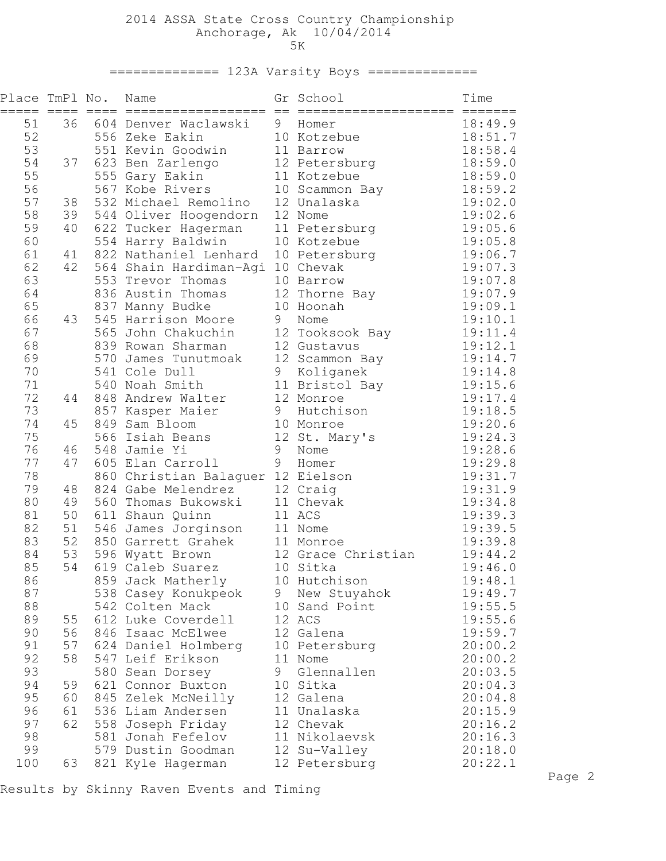## 2014 ASSA State Cross Country Championship Anchorage, Ak 10/04/2014  $5K$

============== 123A Varsity Boys ==============

| Place TmPl No. |    |         | Name                                       | $==$ | Gr School<br>==================== | Time<br>$=$ $=$ $=$ $=$ $=$ $=$ $=$ |
|----------------|----|---------|--------------------------------------------|------|-----------------------------------|-------------------------------------|
| 51             | 36 | $=====$ | ==================<br>604 Denver Waclawski | 9    | Homer                             | 18:49.9                             |
| 52             |    |         | 556 Zeke Eakin                             |      | 10 Kotzebue                       | 18:51.7                             |
| 53             |    |         | 551 Kevin Goodwin                          |      | 11 Barrow                         | 18:58.4                             |
| 54             | 37 |         | 623 Ben Zarlengo                           |      | 12 Petersburg                     | 18:59.0                             |
| 55             |    |         | 555 Gary Eakin                             |      | 11 Kotzebue                       | 18:59.0                             |
| 56             |    |         | 567 Kobe Rivers                            |      | 10 Scammon Bay                    | 18:59.2                             |
| 57             | 38 |         | 532 Michael Remolino                       |      | 12 Unalaska                       | 19:02.0                             |
| 58             | 39 |         | 544 Oliver Hoogendorn                      |      | 12 Nome                           | 19:02.6                             |
| 59             | 40 | 622     | Tucker Hagerman                            |      | 11 Petersburg                     | 19:05.6                             |
| 60             |    |         | 554 Harry Baldwin                          |      | 10 Kotzebue                       | 19:05.8                             |
| 61             | 41 |         | 822 Nathaniel Lenhard                      |      | 10 Petersburg                     | 19:06.7                             |
| 62             | 42 |         | 564 Shain Hardiman-Agi 10 Chevak           |      |                                   | 19:07.3                             |
| 63             |    | 553     | Trevor Thomas                              |      | 10 Barrow                         | 19:07.8                             |
| 64             |    |         | 836 Austin Thomas                          |      | 12 Thorne Bay                     | 19:07.9                             |
| 65             |    | 837     | Manny Budke                                |      | 10 Hoonah                         | 19:09.1                             |
| 66             | 43 |         | 545 Harrison Moore                         | 9    | Nome                              | 19:10.1                             |
| 67             |    | 565     | John Chakuchin                             |      | 12 Tooksook Bay                   | 19:11.4                             |
| 68             |    | 570     | 839 Rowan Sharman                          |      | 12 Gustavus                       | 19:12.1                             |
| 69<br>70       |    |         | James Tunutmoak<br>541 Cole Dull           | 9    | 12 Scammon Bay<br>Koliganek       | 19:14.7<br>19:14.8                  |
| 71             |    |         | 540 Noah Smith                             |      | 11 Bristol Bay                    | 19:15.6                             |
| 72             | 44 | 848     | Andrew Walter                              |      | 12 Monroe                         | 19:17.4                             |
| 73             |    | 857     | Kasper Maier                               | 9    | Hutchison                         | 19:18.5                             |
| 74             | 45 | 849     | Sam Bloom                                  |      | 10 Monroe                         | 19:20.6                             |
| 75             |    | 566     | Isiah Beans                                |      | 12 St. Mary's                     | 19:24.3                             |
| 76             | 46 | 548     | Jamie Yi                                   | 9    | Nome                              | 19:28.6                             |
| 77             | 47 |         | 605 Elan Carroll                           | 9    | Homer                             | 19:29.8                             |
| 78             |    | 860     | Christian Balaguer 12 Eielson              |      |                                   | 19:31.7                             |
| 79             | 48 |         | 824 Gabe Melendrez                         |      | 12 Craig                          | 19:31.9                             |
| 80             | 49 | 560     | Thomas Bukowski                            |      | 11 Chevak                         | 19:34.8                             |
| 81             | 50 |         | 611 Shaun Quinn                            |      | 11 ACS                            | 19:39.3                             |
| 82             | 51 | 546     | James Jorginson                            |      | 11 Nome                           | 19:39.5                             |
| 83             | 52 | 850     | Garrett Grahek                             |      | 11 Monroe                         | 19:39.8                             |
| 84             | 53 | 596     | Wyatt Brown                                |      | 12 Grace Christian                | 19:44.2                             |
| 85             | 54 |         | 619 Caleb Suarez                           |      | 10 Sitka                          | 19:46.0                             |
| 86             |    |         | 859 Jack Matherly                          |      | 10 Hutchison                      | 19:48.1                             |
| 87             |    |         | 538 Casey Konukpeok                        | 9    | New Stuyahok                      | 19:49.7                             |
| 88             |    |         | 542 Colten Mack                            |      | 10 Sand Point                     | 19:55.5                             |
| 89             | 55 |         | 612 Luke Coverdell                         |      | 12 ACS                            | 19:55.6                             |
| 90             | 56 |         | 846 Isaac McElwee                          |      | 12 Galena                         | 19:59.7                             |
| 91             | 57 |         | 624 Daniel Holmberg                        |      | 10 Petersburg                     | 20:00.2                             |
| 92             | 58 |         | 547 Leif Erikson                           |      | 11 Nome                           | 20:00.2                             |
| 93             |    |         | 580 Sean Dorsey                            | 9    | Glennallen                        | 20:03.5                             |
| 94             | 59 |         | 621 Connor Buxton                          |      | 10 Sitka                          | 20:04.3                             |
| 95             | 60 |         | 845 Zelek McNeilly                         |      | 12 Galena                         | 20:04.8                             |
| 96             | 61 |         | 536 Liam Andersen                          |      | 11 Unalaska                       | 20:15.9                             |
| 97             | 62 |         | 558 Joseph Friday                          |      | 12 Chevak                         | 20:16.2                             |
| 98             |    |         | 581 Jonah Fefelov                          |      | 11 Nikolaevsk                     | 20:16.3                             |
| 99             |    |         | 579 Dustin Goodman                         |      | 12 Su-Valley                      | 20:18.0                             |
| 100            | 63 |         | 821 Kyle Hagerman                          |      | 12 Petersburg                     | 20:22.1                             |

Results by Skinny Raven Events and Timing